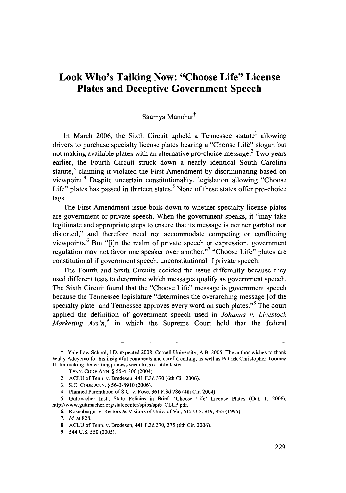# **Look Who's Talking Now: "Choose Life" License Plates and Deceptive Government Speech**

## Saumya Manohar<sup>†</sup>

In March **2006,** the Sixth Circuit upheld a Tennessee statute' allowing drivers to purchase specialty license plates bearing a "Choose Life" slogan but not making available plates with an alternative pro-choice message. $2$  Two years earlier, the Fourth Circuit struck down a nearly identical South Carolina statute,<sup>3</sup> claiming it violated the First Amendment by discriminating based on viewpoint.4 Despite uncertain constitutionality, legislation allowing "Choose Life" plates has passed in thirteen states.<sup>5</sup> None of these states offer pro-choice tags.

The First Amendment issue boils down to whether specialty license plates are government or private speech. When the government speaks, it "may take legitimate and appropriate steps to ensure that its message is neither garbled nor distorted," and therefore need not accommodate competing or conflicting viewpoints.6 But "[i]n the realm of private speech or expression, government regulation may not favor one speaker over another."<sup>7</sup> "Choose Life" plates are constitutional if government speech, unconstitutional if private speech.

The Fourth and Sixth Circuits decided the issue differently because they used different tests to determine which messages qualify as government speech. The Sixth Circuit found that the "Choose Life" message is government speech because the Tennessee legislature "determines the overarching message [of the specialty plate] and Tennessee approves every word on such plates."<sup>8</sup> The court applied the definition of government speech used in *Johanns v. Livestock Marketing Ass'n*,<sup>9</sup> in which the Supreme Court held that the federal

t Yale Law School, **J.D.** expected 2008; Cornell University, A.B. **2005.** The author wishes to thank Wally Adeyemo for his insightful comments and careful editing, as well as Patrick Christopher Toomey **III** for making the writing process seem to go a little faster.

**<sup>1.</sup>** TENN. CODE ANN. § 55-4-306 (2004).

<sup>2.</sup> ACLU of Tenn. v. Bredesen, 441 F.3d 370 (6th Cir. 2006).

<sup>3.</sup> S.C. **CODE ANN.** § 56-3-8910 (2006).

<sup>4.</sup> Planned Parenthood of S.C. v. Rose, 361 F.3d 786 (4th Cir. 2004).

<sup>5.</sup> Guttmacher Inst., State Policies in Brief: 'Choose Life' License Plates (Oct. 1, 2006), http://www.guttmacher.org/statecenter/spibs/spib-CLLP.pdf.

<sup>6.</sup> Rosenberger v. Rectors& Visitors of Univ. of Va., 515 U.S. 819, 833 (1995).

<sup>7.</sup> *Id.* at 828.

<sup>8.</sup> ACLU of Tenn. v. Bredesen, 441 F.3d 370, 375 (6th Cir. 2006).

<sup>9. 544</sup> U.S. 550 (2005).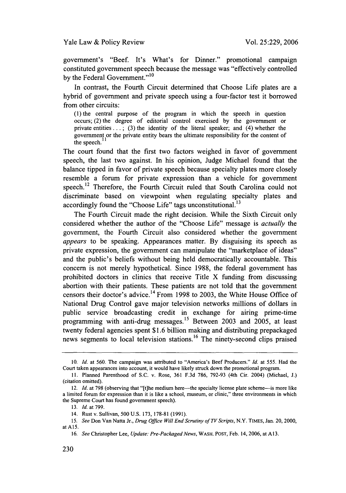government's "Beef. It's What's for Dinner." promotional campaign constituted government speech because the message was "effectively controlled by the Federal Government."<sup>10</sup>

In contrast, the Fourth Circuit determined that Choose Life plates are a hybrid of government and private speech using a four-factor test it borrowed from other circuits:

(1) the central purpose of the program in which the speech in question occurs; (2) the degree of editorial control exercised by the government or private entities...; (3) the identity of the literal speaker; and (4) whether the government or the private entity bears the ultimate responsibility for the content of the speech.

The court found that the first two factors weighed in favor of government speech, the last two against. In his opinion, Judge Michael found that the balance tipped in favor of private speech because specialty plates more closely resemble a forum for private expression than a vehicle for government speech.<sup>12</sup> Therefore, the Fourth Circuit ruled that South Carolina could not discriminate based on viewpoint when regulating specialty plates and accordingly found the "Choose Life" tags unconstitutional.<sup>13</sup>

The Fourth Circuit made the right decision. While the Sixth Circuit only considered whether the author of the "Choose Life" message is *actually* the government, the Fourth Circuit also considered whether the government *appears* to be speaking. Appearances matter. By disguising its speech as private expression, the government can manipulate the "marketplace of ideas" and the public's beliefs without being held democratically accountable. This concern is not merely hypothetical. Since 1988, the federal government has prohibited doctors in clinics that receive Title X funding from discussing abortion with their patients. These patients are not told that the government censors their doctor's advice.<sup>14</sup> From 1998 to 2003, the White House Office of National Drug Control gave major television networks millions of dollars in public service broadcasting credit in exchange for airing prime-time programming with anti-drug messages.<sup>15</sup> Between 2003 and 2005, at least twenty federal agencies spent \$1.6 billion making and distributing prepackaged news segments to local television stations. 16 The ninety-second clips praised

<sup>10.</sup> *Id.* at 560. The campaign was attributed to "America's Beef Producers." *Id.* at 555. Had the Court taken appearances into account, it would have likely struck down the promotional program.

<sup>11.</sup> Planned Parenthood of S.C. v. Rose, 361 F.3d 786, 792-93 (4th Cir. 2004) (Michael, J.) (citation omitted).

<sup>12.</sup> *Id.* at 798 (observing that "[t]he medium here—the specialty license plate scheme—is more like a limited forum for expression than it is like a school, museum, or clinic," three environments in which the Supreme Court has found government speech).

<sup>13.</sup> *Id.* at 799.

<sup>14.</sup> Rust v. Sullivan, 500 U.S. 173, 178-81 (1991).

*<sup>15.</sup> See* Don Van Natta Jr., *Drug Office Will End Scrutiny of TV Scripts,* N.Y. TIMES, Jan. 20, 2000, at A15.

<sup>16.</sup> *See* Christopher Lee, *Update: Pre-Packaged News,* WASH. POST, Feb. 14, 2006, at A **13.**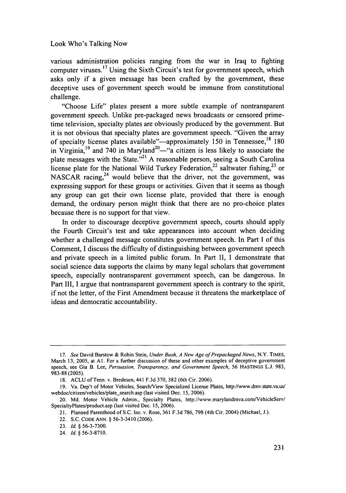various administration policies ranging from the war in Iraq to fighting computer viruses.17 Using the Sixth Circuit's test for government speech, which asks only if a given message has been crafted by the government, these deceptive uses of government speech would be immune from constitutional challenge.

"Choose Life" plates present a more subtle example of nontransparent government speech. Unlike pre-packaged news broadcasts or censored primetime television, specialty plates are obviously produced by the government. But it is not obvious that specialty plates are government speech. "Given the array of specialty license plates available"—approximately 150 in Tennessee,<sup>18</sup> 180 in Virginia,<sup>19</sup> and 740 in Maryland<sup>20</sup>—"a citizen is less likely to associate the plate messages with the State."<sup>21</sup> A reasonable person, seeing a South Carolina license plate for the National Wild Turkey Federation,<sup>22</sup> saltwater fishing,<sup>23</sup> or NASCAR racing,  $24$  would believe that the driver, not the government, was expressing support for these groups or activities. Given that it seems as though any group can get their own license plate, provided that there is enough demand, the ordinary person might think that there are no pro-choice plates because there is no support for that view.

In order to discourage deceptive government speech, courts should apply the Fourth Circuit's test and take appearances into account when deciding whether a challenged message constitutes government speech. In Part I of this Comment, I discuss the difficulty of distinguishing between government speech and private speech in a limited public forum. In Part II, I demonstrate that social science data supports the claims by many legal scholars that government speech, especially nontransparent government speech, can be dangerous. In Part III, I argue that nontransparent government speech is contrary to the spirit, if not the letter, of the First Amendment because it threatens the marketplace of ideas and democratic accountability.

*<sup>17.</sup> See* David Barstow & Robin Stein, *Under Bush, A New Age of Prepackaged News,* N.Y. TIMES, March 13, 2005, at **Al.** For a further discussion of these and other examples of deceptive government speech, see Gia B. Lee, *Persuasion, Transparency, and Government Speech,* 56 HASTINGS **L.J.** 983, 983-88 (2005).

<sup>18.</sup> ACLU of Tenn. v. Bredesen, 441 F.3d 370, 382 (6th Cir. 2006).

<sup>19.</sup> Va. Dep't of Motor Vehicles, Search/View Specialized License Plates, http://www.dmv.state.va.us/ webdoc/citizen/vehicles/plate\_search.asp (last visited Dec. 15, 2006).

<sup>20.</sup> Md. Motor Vehicle Admin., Specialty Plates, http://www.marylandmva.com/VehicleServ/ SpecialtyPlates/product.asp (last visited Dec. 15, 2006).

<sup>21.</sup> Planned Parenthood of S.C. Inc. v. Rose, 361 F.3d 786, 798 (4th Cir. 2004) (Michael, J.).

<sup>22.</sup> S.C. CODE ANN. § 56-3-3410 (2006).

<sup>23.</sup> *Id.* § 56-3-7300.

<sup>24.</sup> *Id.* § 56-3-8710.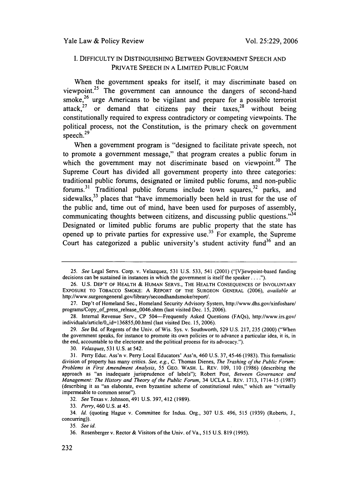## I. DIFFICULTY 1N DISTINGUISHING BETWEEN GOVERNMENT SPEECH AND PRIVATE SPEECH IN A LIMITED PUBLIC FORUM

When the government speaks for itself, it may discriminate based on viewpoint.<sup>25</sup> The government can announce the dangers of second-hand smoke,  $26$  urge Americans to be vigilant and prepare for a possible terrorist attack, $27$  or demand that citizens pay their taxes, $28$  without being constitutionally required to express contradictory or competing viewpoints. The political process, not the Constitution, is the primary check on government speech.<sup>29</sup>

When a government program is "designed to facilitate private speech, not to promote a government message," that program creates a public forum in which the government may not discriminate based on viewpoint.<sup>30</sup> The Supreme Court has divided all government property into three categories: traditional public forums, designated or limited public forums, and non-public forums.<sup>31</sup> Traditional public forums include town squares,<sup>32</sup> parks, and sidewalks,<sup>33</sup> places that "have immemorially been held in trust for the use of the public and, time out of mind, have been used for purposes of assembly, communicating thoughts between citizens, and discussing public questions."<sup>34</sup> Designated or limited public forums are public property that the state has opened up to private parties for expressive use.<sup>35</sup> For example, the Supreme Court has categorized a public university's student activity fund<sup>36</sup> and an

33. *Perry,* 460 U.S. at 45.

34. *Id.* (quoting Hague v. Committee for Indus. Org., 307 U.S. 496, 515 (1939) (Roberts, J., concurring)).

35. *See id.*

<sup>25.</sup> *See* Legal Servs. Corp. v. Velazquez, 531 U.S. 533, 541 (2001) ("[V]iewpoint-based funding decisions can be sustained in instances in which the government is itself the speaker . . . .").

<sup>26.</sup> U.S. DEP'T OF HEALTH & HUMAN SERVS., THE HEALTH CONSEQUENCES OF INVOLUNTARY EXPOSURE TO TOBACCO SMOKE: A REPORT OF THE SURGEON GENERAL (2006), *available at* http://www.surgeongeneral.gov/library/secondhandsmoke/report/.

<sup>27.</sup> Dep't of Homeland Sec., Homeland Security Advisory System, http://www.dhs.gov/xinfoshare/ programs/Copy\_of\_press\_release\_0046.shtm (last visited Dec. 15, 2006).

<sup>28.</sup> Internal Revenue Serv., CP 504-Frequently Asked Questions (FAQs), http://www.irs.gov/ individuals/article/0,,id=l 36855,00.html (last visited Dec. 15, 2006).

<sup>29.</sup> *See* Bd. of Regents of the Univ. of Wis. Sys. v. Southworth, 529 U.S. 217, 235 (2000) ("When the government speaks, for instance to promote its own policies or to advance a particular idea, it is, in the end, accountable to the electorate and the political process for its advocacy.").

<sup>30.</sup> *Velazquez,* 531 U.S. at 542.

<sup>31.</sup> Perry Educ. Ass'n v. Perry Local Educators' Ass'n, 460 U.S. 37, 45-46 (1983). This formalistic division of property has many critics. *See, e.g.,* C. Thomas Dienes, *The Trashing of the Public Forum: Problems in First Amendment Analysis,* 55 GEO. WASH. L. REV. 109, 110 (1986) (describing the approach as "an inadequate jurisprudence of labels"); Robert Post, *Between Governance and Management: The History and Theory of the Public Forum,* 34 UCLA L. REV. 1713, 1714-15 (1987) (describing it as "an elaborate, even byzantine scheme of constitutional rules," which are "virtually impermeable to common sense").

<sup>32.</sup> *See* Texas v. Johnson, 491 U.S. 397, 412 (1989).

<sup>36.</sup> Rosenberger v. Rector& Visitors of the Univ. of Va., 515 U.S. 819 (1995).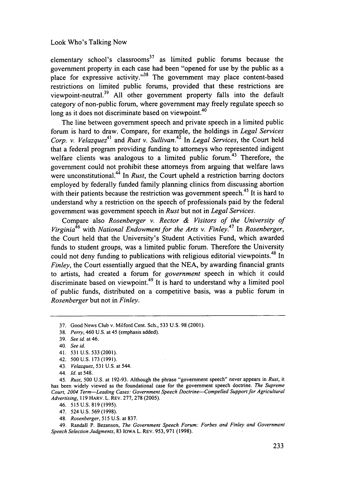elementary school's classrooms<sup>37</sup> as limited public forums because the government property in each case had been "opened for use by the public as a place for expressive activity."<sup>38</sup> The government may place content-based restrictions on limited public forums, provided that these restrictions are viewpoint-neutral.<sup>39</sup> All other government property falls into the default category of non-public forum, where government may freely regulate speech so long as it does not discriminate based on viewpoint.<sup>40</sup>

The line between government speech and private speech in a limited public forum is hard to draw. Compare, for example, the holdings in *Legal Services Corp. v. Velazquez*<sup>41</sup> and *Rust v. Sullivan.*<sup>42</sup> In *Legal Services*, the Court held that a federal program providing funding to attorneys who represented indigent welfare clients was analogous to a limited public forum.<sup>43</sup> Therefore, the government could not prohibit these attorneys from arguing that welfare laws were unconstitutional.<sup>44</sup> In *Rust*, the Court upheld a restriction barring doctors employed by federally funded family planning clinics from discussing abortion with their patients because the restriction was government speech.<sup>45</sup> It is hard to understand why a restriction on the speech of professionals paid by the federal government was government speech in *Rust* but not in *Legal Services.*

Compare also *Rosenberger v. Rector & Visitors of the University of Virginia46* with *National Endowment for the Arts v. Finley.47* In *Rosenberger,* the Court held that the University's Student Activities Fund, which awarded funds to student groups, was a limited public forum. Therefore the University could not deny funding to publications with religious editorial viewpoints.<sup>48</sup> In *Finley,* the Court essentially argued that the NEA, by awarding financial grants to artists, had created a forum for *government* speech in which it could discriminate based on viewpoint.<sup>49</sup> It is hard to understand why a limited pool of public funds, distributed on a competitive basis, was a public forum in *Rosenberger* but not in *Finley.*

48. *Rosenberger,* 515 U.S. at 837.

49. Randall P. Bezanson, *The Government Speech Forum: Forbes and Finley and Government Speech Selection Judgments,* 83 IOWA L. REv. 953, 971 (1998).

<sup>37.</sup> Good News Club v. Milford Cent. Sch., 533 U.S. 98 (2001).

<sup>38.</sup> *Perry,* 460 U.S. at 45 (emphasis added).

<sup>39.</sup> *See id.* at 46.

<sup>40.</sup> *See id.*

<sup>41. 531</sup> U.S. 533 (2001).

<sup>42. 500</sup> U.S. 173 (1991).

<sup>43.</sup> *Velazquez,* 531 U.S. at 544.

<sup>44.</sup> *Id.* at 548.

<sup>45.</sup> *Rust,* 500 U.S. at 192-93. Although the phrase "government speech" never appears in *Rust,* it has been widely viewed as the foundational case for the government speech doctrine. *The Supreme Court, 2004 Term-Leading Cases: Government Speech Doctrine-Compelled Support for Agricultural Advertising,* 119 HARV. L. REv. 277, 278 (2005).

<sup>46. 515</sup> U.S. 819(1995).

<sup>47. 524</sup> U.S. 569 (1998).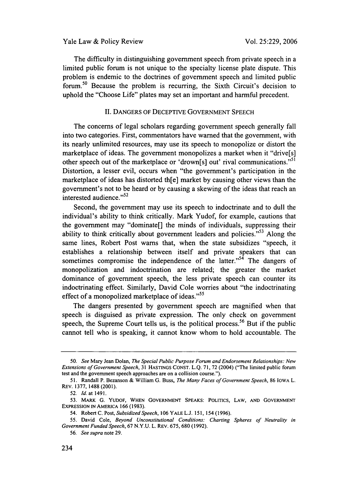The difficulty in distinguishing government speech from private speech in a limited public forum is not unique to the specialty license plate dispute. This problem is endemic to the doctrines of government speech and limited public forum.50 Because the problem is recurring, the Sixth Circuit's decision to uphold the "Choose Life" plates may set an important and harmful precedent.

#### II. DANGERS OF DECEPTIVE GOVERNMENT SPEECH

The concerns of legal scholars regarding government speech generally fall into two categories. First, commentators have warned that the government, with its nearly unlimited resources, may use its speech to monopolize or distort the marketplace of ideas. The government monopolizes a market when it "drive[s] other speech out of the marketplace or 'drown[s] out' rival communications."<sup>51</sup> Distortion, a lesser evil, occurs when "the government's participation in the marketplace of ideas has distorted th[e] market by causing other views than the government's not to be heard or by causing a skewing of the ideas that reach an interested audience."<sup>52</sup>

Second, the government may use its speech to indoctrinate and to dull the individual's ability to think critically. Mark Yudof, for example, cautions that the government may "dominate[] the minds of individuals, suppressing their ability to think critically about government leaders and policies."<sup>53</sup> Along the same lines, Robert Post warns that, when the state subsidizes "speech, it establishes a relationship between itself and private speakers that can sometimes compromise the independence of the latter." $5<sup>4</sup>$  The dangers of monopolization and indoctrination are related; the greater the market dominance of government speech, the less private speech can counter its indoctrinating effect. Similarly, David Cole worries about "the indoctrinating effect of a monopolized marketplace of ideas."<sup>55</sup>

The dangers presented by government speech are magnified when that speech is disguised as private expression. The only check on government speech, the Supreme Court tells us, is the political process.<sup>56</sup> But if the public cannot tell who is speaking, it cannot know whom to hold accountable. The

*<sup>50.</sup> See* Mary Jean Dolan, *The Special Public Purpose Forum and Endorsement Relationships: New Extensions of Government Speech,* 31 HASTINGS CONST. L.Q. 71, 72 (2004) ("The limited public forum test and the government speech approaches are on a collision course.").

*<sup>51.</sup>* Randall P. Bezanson & William G. Buss, *The Many Faces of Government Speech,* 86 IOWA L. REV. 1377, 1488 (2001).

*<sup>52.</sup>* Id. at 1491.

**<sup>53.</sup>** MARK G. YUDOF, WHEN GOVERNMENT SPEAKS: POLITICS, LAW, AND GOVERNMENT EXPRESSION IN AMERICA 166 (1983).

<sup>54.</sup> Robert C. Post, *Subsidized Speech,* 106 YALE L.J. 151, 154 (1996).

<sup>55.</sup> David Cole, *Beyond Unconstitutional Conditions: Charting Spheres of Neutrality in Government Funded Speech,* 67 N.Y.U. L. REV. 675, 680 (1992).

*<sup>56.</sup> See supra* note 29.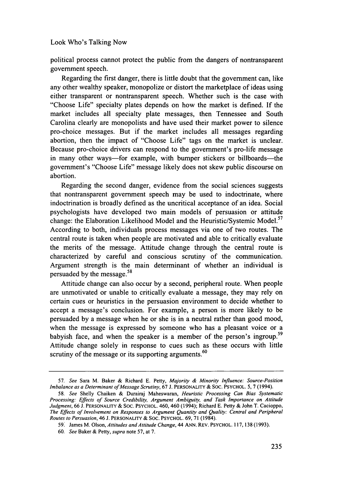political process cannot protect the public from the dangers of nontransparent government speech.

Regarding the first danger, there is little doubt that the government can, like any other wealthy speaker, monopolize or distort the marketplace of ideas using either transparent or nontransparent speech. Whether such is the case with "Choose Life" specialty plates depends on how the market is defined. If the market includes all specialty plate messages, then Tennessee and South Carolina clearly are monopolists and have used their market power to silence pro-choice messages. But if the market includes all messages regarding abortion, then the impact of "Choose Life" tags on the market is unclear. Because pro-choice drivers can respond to the government's pro-life message in many other ways-for example, with bumper stickers or billboards-the government's "Choose Life" message likely does not skew public discourse on abortion.

Regarding the second danger, evidence from the social sciences suggests that nontransparent government speech may be used to indoctrinate, where indoctrination is broadly defined as the uncritical acceptance of an idea. Social psychologists have developed two main models of persuasion or attitude change: the Elaboration Likelihood Model and the Heuristic/Systemic Model.<sup>57</sup> According to both, individuals process messages via one of two routes. The central route is taken when people are motivated and able to critically evaluate the merits of the message. Attitude change through the central route is characterized by careful and conscious scrutiny of the communication. Argument strength is the main determinant of whether an individual is **<sup>58</sup>** persuaded by the message.

Attitude change can also occur by a second, peripheral route. When people are unmotivated or unable to critically evaluate a message, they may rely on certain cues or heuristics in the persuasion environment to decide whether to accept a message's conclusion. For example, a person is more likely to be persuaded by a message when he or she is in a neutral rather than good mood, when the message is expressed by someone who has a pleasant voice or a babyish face, and when the speaker is a member of the person's ingroup.<sup>59</sup> Attitude change solely in response to cues such as these occurs with little scrutiny of the message or its supporting arguments.<sup>60</sup>

<sup>57.</sup> See Sara M. Baker & Richard E. Petty, Majority & Minority *Influence: Source-Position* Imbalance as a Determinant of Message Scrutiny, 67 J. PERSONALITY **&** SOC. PSYCHOL. 5, 7 (1994).

<sup>58.</sup> See Shelly Chaiken & Durairaj Maheswaran, Heuristic Processing Can Bias Systematic Processing: Effects of Source Credibility, Argument Ambiguity, and Task Importance on Attitude *Judgment,* **66** J. PERSONALITY & SOC. PSYCHOL. 460, 460 (1994); Richard E. Petty & John T. Cacioppo, The Effects of Involvement on Responses to Argument Quantity and Quality: Central and Peripheral Routes to Persuasion, 46 J. PERSONALITY & SOC. PSYCHOL. 69, 71 (1984).

<sup>591</sup> James M. Olson, Attitudes and Attitude Change, 44 **ANN.** REV. PSYCHOL. **117, 138** (1993).

<sup>60.</sup> *See* Baker & Petty, *supra* note 57, at 7.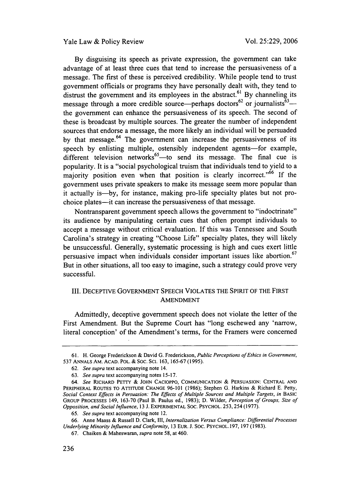Yale Law & Policy Review

By disguising its speech as private expression, the government can take advantage of at least three cues that tend to increase the persuasiveness of a message. The first of these is perceived credibility. While people tend to trust government officials or programs they have personally dealt with, they tend to distrust the government and its employees in the abstract.<sup>61</sup> By channeling its message through a more credible source—perhaps doctors<sup>62</sup> or journalists<sup>63</sup> -the government can enhance the persuasiveness of its speech. The second of these is broadcast by multiple sources. The greater the number of independent sources that endorse a message, the more likely an individual will be persuaded by that message. $64$  The government can increase the persuasiveness of its speech by enlisting multiple, ostensibly independent agents-for example, different television networks<sup>65</sup> - to send its message. The final cue is popularity. It is a "social psychological truism that individuals tend to yield to a majority position even when that position is clearly incorrect."<sup>66</sup> If the government uses private speakers to make its message seem more popular than it actually is-by, for instance, making pro-life specialty plates but not prochoice plates-it can increase the persuasiveness of that message.

Nontransparent government speech allows the government to "indoctrinate" its audience by manipulating certain cues that often prompt individuals to accept a message without critical evaluation. If this was Tennessee and South Carolina's strategy in creating "Choose Life" specialty plates, they will likely be unsuccessful. Generally, systematic processing is high and cues exert little persuasive impact when individuals consider important issues like abortion.<sup>67</sup> But in other situations, all too easy to imagine, such a strategy could prove very successful.

## III. DECEPTIVE GOVERNMENT SPEECH VIOLATES THE SPIRIT OF THE FIRST AMENDMENT

Admittedly, deceptive government speech does not violate the letter of the First Amendment. But the Supreme Court has "long eschewed any 'narrow, literal conception' of the Amendment's terms, for the Framers were concerned

<sup>61.</sup> H. George Frederickson & David **G.** Frederickson, *Public Perceptions of Ethics in Government,* 537 ANNALS AM. ACAD. POL. & SOC. SCI. 163, 165-67 (1995).

<sup>62.</sup> *See supra* text accompanying note 14.

<sup>63.</sup> *See supra* text accompanying notes 15-17.

*<sup>64.</sup> See* RICHARD PETTY & JOHN CACIOPPO, COMMUNICATION & PERSUASION: CENTRAL AND PERIPHERAL ROUTES TO ATTITUDE CHANGE 96-101 (1986); Stephen G. Harkins & Richard E. Petty, Social Context Effects in Persuasion: The Effects of Multiple Sources and Multiple Targets, in BASIC GROUP PROCESSES 149, 163-70 (Paul B. Paulus ed., 1983); D. Wilder, *Perception of Groups, Size of Opposition, and Social Influence,* 13 J. EXPERIMENTAL SOC. PSYCHOL. 253,254(1977).

<sup>65.</sup> *See supra* text accompanying note 12.

<sup>66.</sup> Anne Maass & Russell D. Clark, Il1, *Internalization Versus Compliance: Differential Processes Underlying Minority Influence and Conformity,* 13 EUR. J. SOC. PSYCHOL. 197, 197 (1983).

<sup>67.</sup> Chaiken & Maheswaran, *supra* note 58, at 460.